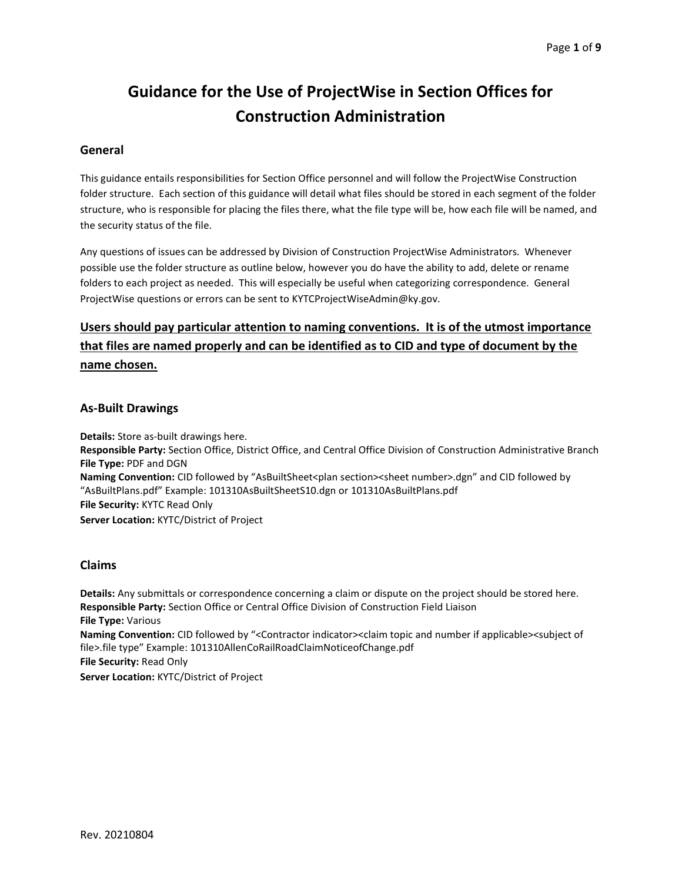# Guidance for the Use of ProjectWise in Section Offices for Construction Administration

### General

This guidance entails responsibilities for Section Office personnel and will follow the ProjectWise Construction folder structure. Each section of this guidance will detail what files should be stored in each segment of the folder structure, who is responsible for placing the files there, what the file type will be, how each file will be named, and the security status of the file.

Any questions of issues can be addressed by Division of Construction ProjectWise Administrators. Whenever possible use the folder structure as outline below, however you do have the ability to add, delete or rename folders to each project as needed. This will especially be useful when categorizing correspondence. General ProjectWise questions or errors can be sent to KYTCProjectWiseAdmin@ky.gov.

# Users should pay particular attention to naming conventions. It is of the utmost importance that files are named properly and can be identified as to CID and type of document by the name chosen.

#### As-Built Drawings

Details: Store as-built drawings here. Responsible Party: Section Office, District Office, and Central Office Division of Construction Administrative Branch File Type: PDF and DGN Naming Convention: CID followed by "AsBuiltSheet<plan section><sheet number>.dgn" and CID followed by "AsBuiltPlans.pdf" Example: 101310AsBuiltSheetS10.dgn or 101310AsBuiltPlans.pdf File Security: KYTC Read Only Server Location: KYTC/District of Project

#### Claims

Details: Any submittals or correspondence concerning a claim or dispute on the project should be stored here. Responsible Party: Section Office or Central Office Division of Construction Field Liaison File Type: Various Naming Convention: CID followed by "<Contractor indicator><claim topic and number if applicable><subject of file>.file type" Example: 101310AllenCoRailRoadClaimNoticeofChange.pdf File Security: Read Only Server Location: KYTC/District of Project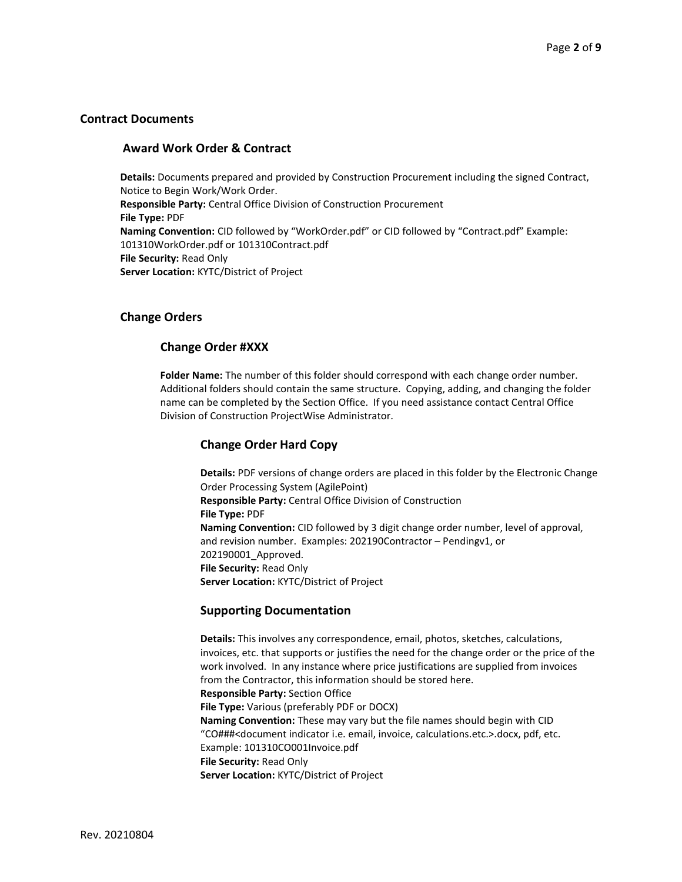### Contract Documents

#### Award Work Order & Contract

Details: Documents prepared and provided by Construction Procurement including the signed Contract, Notice to Begin Work/Work Order. Responsible Party: Central Office Division of Construction Procurement File Type: PDF Naming Convention: CID followed by "WorkOrder.pdf" or CID followed by "Contract.pdf" Example: 101310WorkOrder.pdf or 101310Contract.pdf File Security: Read Only Server Location: KYTC/District of Project

#### Change Orders

#### Change Order #XXX

Folder Name: The number of this folder should correspond with each change order number. Additional folders should contain the same structure. Copying, adding, and changing the folder name can be completed by the Section Office. If you need assistance contact Central Office Division of Construction ProjectWise Administrator.

#### Change Order Hard Copy

Details: PDF versions of change orders are placed in this folder by the Electronic Change Order Processing System (AgilePoint) Responsible Party: Central Office Division of Construction File Type: PDF Naming Convention: CID followed by 3 digit change order number, level of approval, and revision number. Examples: 202190Contractor – Pendingv1, or 202190001\_Approved. File Security: Read Only Server Location: KYTC/District of Project

#### Supporting Documentation

Details: This involves any correspondence, email, photos, sketches, calculations, invoices, etc. that supports or justifies the need for the change order or the price of the work involved. In any instance where price justifications are supplied from invoices from the Contractor, this information should be stored here. Responsible Party: Section Office File Type: Various (preferably PDF or DOCX) Naming Convention: These may vary but the file names should begin with CID "CO###<document indicator i.e. email, invoice, calculations.etc.>.docx, pdf, etc. Example: 101310CO001Invoice.pdf File Security: Read Only Server Location: KYTC/District of Project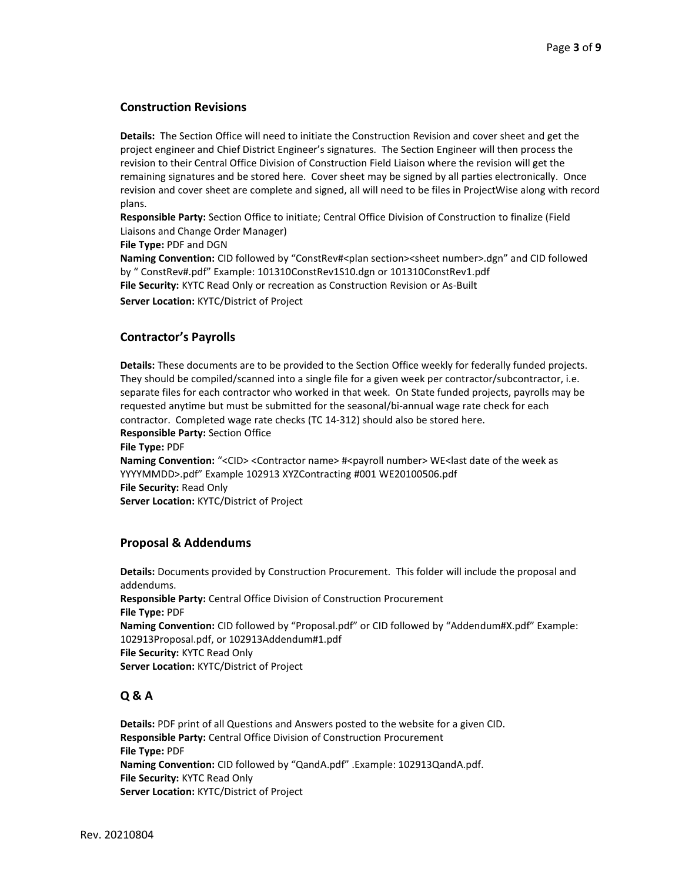# Construction Revisions

Details: The Section Office will need to initiate the Construction Revision and cover sheet and get the project engineer and Chief District Engineer's signatures. The Section Engineer will then process the revision to their Central Office Division of Construction Field Liaison where the revision will get the remaining signatures and be stored here. Cover sheet may be signed by all parties electronically. Once revision and cover sheet are complete and signed, all will need to be files in ProjectWise along with record plans.

Responsible Party: Section Office to initiate; Central Office Division of Construction to finalize (Field Liaisons and Change Order Manager)

File Type: PDF and DGN

Naming Convention: CID followed by "ConstRev#<plan section><sheet number>.dgn" and CID followed by " ConstRev#.pdf" Example: 101310ConstRev1S10.dgn or 101310ConstRev1.pdf File Security: KYTC Read Only or recreation as Construction Revision or As-Built Server Location: KYTC/District of Project

# Contractor's Payrolls

Details: These documents are to be provided to the Section Office weekly for federally funded projects. They should be compiled/scanned into a single file for a given week per contractor/subcontractor, i.e. separate files for each contractor who worked in that week. On State funded projects, payrolls may be requested anytime but must be submitted for the seasonal/bi-annual wage rate check for each contractor. Completed wage rate checks (TC 14-312) should also be stored here. Responsible Party: Section Office File Type: PDF Naming Convention: "<CID> <Contractor name> #<payroll number> WE<last date of the week as YYYYMMDD>.pdf" Example 102913 XYZContracting #001 WE20100506.pdf File Security: Read Only Server Location: KYTC/District of Project

#### Proposal & Addendums

Details: Documents provided by Construction Procurement. This folder will include the proposal and addendums. Responsible Party: Central Office Division of Construction Procurement File Type: PDF Naming Convention: CID followed by "Proposal.pdf" or CID followed by "Addendum#X.pdf" Example: 102913Proposal.pdf, or 102913Addendum#1.pdf File Security: KYTC Read Only Server Location: KYTC/District of Project

# Q & A

Details: PDF print of all Questions and Answers posted to the website for a given CID. Responsible Party: Central Office Division of Construction Procurement File Type: PDF Naming Convention: CID followed by "QandA.pdf" .Example: 102913QandA.pdf. File Security: KYTC Read Only Server Location: KYTC/District of Project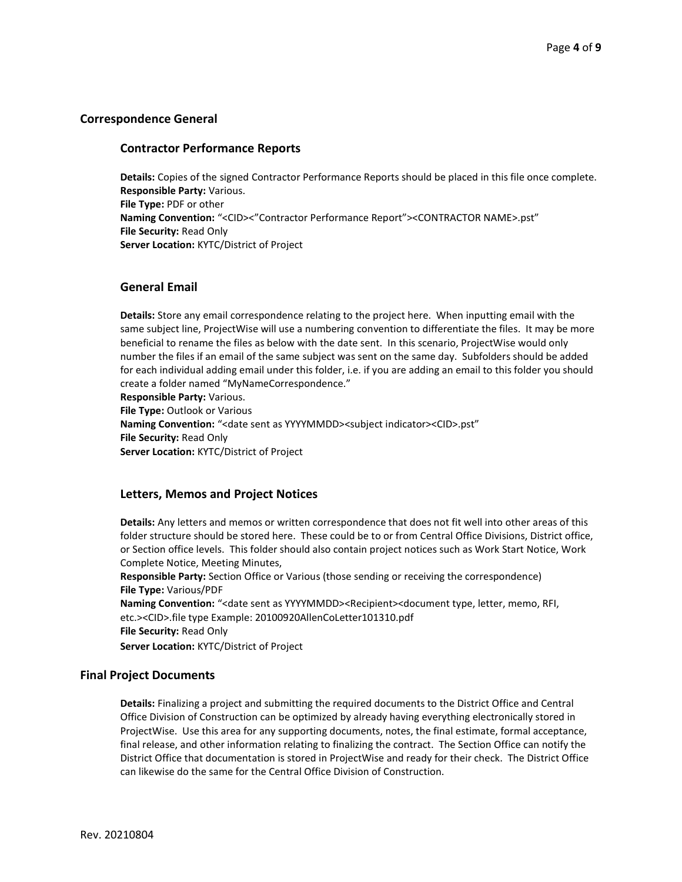# Correspondence General

#### Contractor Performance Reports

Details: Copies of the signed Contractor Performance Reports should be placed in this file once complete. Responsible Party: Various. File Type: PDF or other Naming Convention: "<CID><"Contractor Performance Report"><CONTRACTOR NAME>.pst" File Security: Read Only Server Location: KYTC/District of Project

# General Email

Details: Store any email correspondence relating to the project here. When inputting email with the same subject line, ProjectWise will use a numbering convention to differentiate the files. It may be more beneficial to rename the files as below with the date sent. In this scenario, ProjectWise would only number the files if an email of the same subject was sent on the same day. Subfolders should be added for each individual adding email under this folder, i.e. if you are adding an email to this folder you should create a folder named "MyNameCorrespondence."

Responsible Party: Various. File Type: Outlook or Various Naming Convention: "<date sent as YYYYMMDD><subject indicator><CID>.pst" File Security: Read Only Server Location: KYTC/District of Project

#### Letters, Memos and Project Notices

Details: Any letters and memos or written correspondence that does not fit well into other areas of this folder structure should be stored here. These could be to or from Central Office Divisions, District office, or Section office levels. This folder should also contain project notices such as Work Start Notice, Work Complete Notice, Meeting Minutes,

Responsible Party: Section Office or Various (those sending or receiving the correspondence) File Type: Various/PDF

Naming Convention: "<date sent as YYYYMMDD><Recipient><document type, letter, memo, RFI, etc.><CID>.file type Example: 20100920AllenCoLetter101310.pdf File Security: Read Only **Server Location: KYTC/District of Project** 

#### Final Project Documents

Details: Finalizing a project and submitting the required documents to the District Office and Central Office Division of Construction can be optimized by already having everything electronically stored in ProjectWise. Use this area for any supporting documents, notes, the final estimate, formal acceptance, final release, and other information relating to finalizing the contract. The Section Office can notify the District Office that documentation is stored in ProjectWise and ready for their check. The District Office can likewise do the same for the Central Office Division of Construction.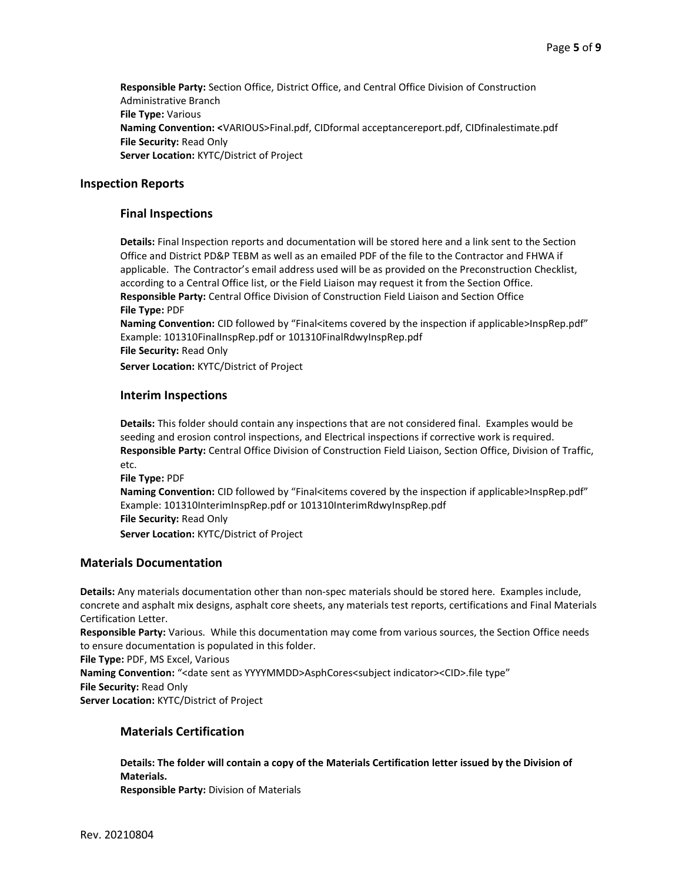Responsible Party: Section Office, District Office, and Central Office Division of Construction Administrative Branch File Type: Various Naming Convention: <VARIOUS>Final.pdf, CIDformal acceptancereport.pdf, CIDfinalestimate.pdf File Security: Read Only Server Location: KYTC/District of Project

#### Inspection Reports

#### Final Inspections

Details: Final Inspection reports and documentation will be stored here and a link sent to the Section Office and District PD&P TEBM as well as an emailed PDF of the file to the Contractor and FHWA if applicable. The Contractor's email address used will be as provided on the Preconstruction Checklist, according to a Central Office list, or the Field Liaison may request it from the Section Office. Responsible Party: Central Office Division of Construction Field Liaison and Section Office File Type: PDF

Naming Convention: CID followed by "Final<items covered by the inspection if applicable>InspRep.pdf" Example: 101310FinalInspRep.pdf or 101310FinalRdwyInspRep.pdf File Security: Read Only

**Server Location: KYTC/District of Project** 

#### Interim Inspections

Details: This folder should contain any inspections that are not considered final. Examples would be seeding and erosion control inspections, and Electrical inspections if corrective work is required. Responsible Party: Central Office Division of Construction Field Liaison, Section Office, Division of Traffic, etc.

File Type: PDF Naming Convention: CID followed by "Final<items covered by the inspection if applicable>InspRep.pdf" Example: 101310InterimInspRep.pdf or 101310InterimRdwyInspRep.pdf File Security: Read Only Server Location: KYTC/District of Project

#### Materials Documentation

Details: Any materials documentation other than non-spec materials should be stored here. Examples include, concrete and asphalt mix designs, asphalt core sheets, any materials test reports, certifications and Final Materials Certification Letter.

Responsible Party: Various. While this documentation may come from various sources, the Section Office needs to ensure documentation is populated in this folder.

File Type: PDF, MS Excel, Various

Naming Convention: "<date sent as YYYYMMDD>AsphCores<subject indicator><CID>.file type" File Security: Read Only Server Location: KYTC/District of Project

#### Materials Certification

Details: The folder will contain a copy of the Materials Certification letter issued by the Division of Materials. Responsible Party: Division of Materials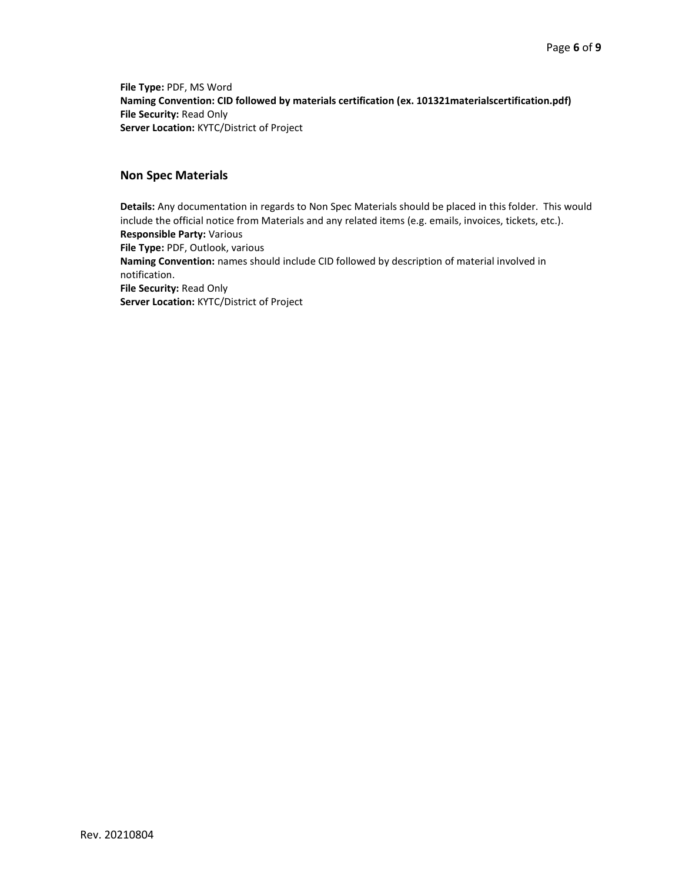File Type: PDF, MS Word Naming Convention: CID followed by materials certification (ex. 101321materialscertification.pdf) File Security: Read Only Server Location: KYTC/District of Project

# Non Spec Materials

Details: Any documentation in regards to Non Spec Materials should be placed in this folder. This would include the official notice from Materials and any related items (e.g. emails, invoices, tickets, etc.). Responsible Party: Various File Type: PDF, Outlook, various Naming Convention: names should include CID followed by description of material involved in notification. File Security: Read Only Server Location: KYTC/District of Project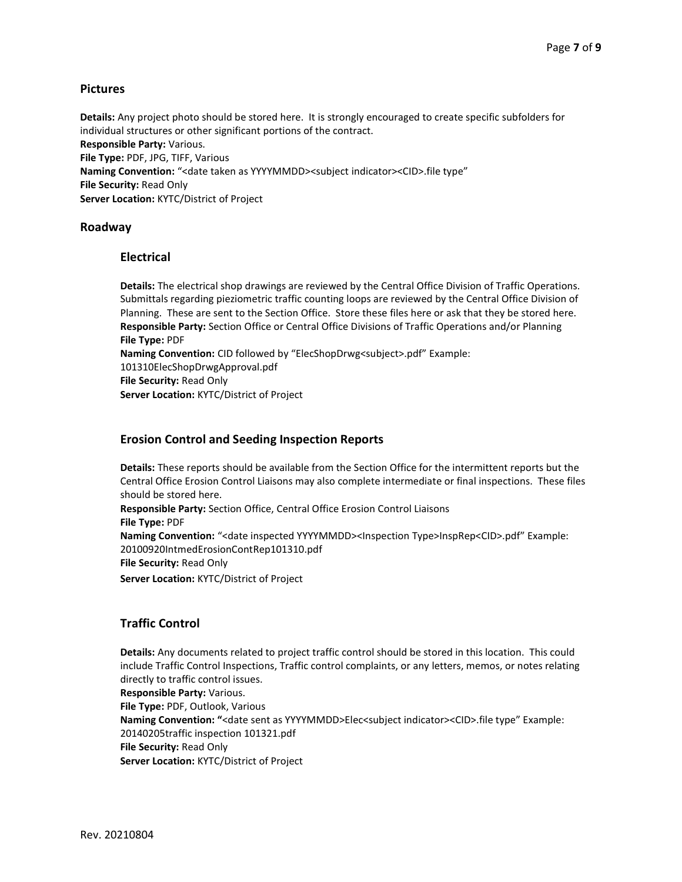# Pictures

Details: Any project photo should be stored here. It is strongly encouraged to create specific subfolders for individual structures or other significant portions of the contract. Responsible Party: Various. File Type: PDF, JPG, TIFF, Various Naming Convention: "<date taken as YYYYMMDD><subject indicator><CID>.file type" File Security: Read Only Server Location: KYTC/District of Project

#### Roadway

#### Electrical

Details: The electrical shop drawings are reviewed by the Central Office Division of Traffic Operations. Submittals regarding pieziometric traffic counting loops are reviewed by the Central Office Division of Planning. These are sent to the Section Office. Store these files here or ask that they be stored here. Responsible Party: Section Office or Central Office Divisions of Traffic Operations and/or Planning File Type: PDF Naming Convention: CID followed by "ElecShopDrwg<subject>.pdf" Example: 101310ElecShopDrwgApproval.pdf File Security: Read Only Server Location: KYTC/District of Project

# Erosion Control and Seeding Inspection Reports

Details: These reports should be available from the Section Office for the intermittent reports but the Central Office Erosion Control Liaisons may also complete intermediate or final inspections. These files should be stored here. Responsible Party: Section Office, Central Office Erosion Control Liaisons File Type: PDF Naming Convention: "<date inspected YYYYMMDD><Inspection Type>InspRep<CID>.pdf" Example: 20100920IntmedErosionContRep101310.pdf File Security: Read Only Server Location: KYTC/District of Project

# Traffic Control

Details: Any documents related to project traffic control should be stored in this location. This could include Traffic Control Inspections, Traffic control complaints, or any letters, memos, or notes relating directly to traffic control issues.

Responsible Party: Various. File Type: PDF, Outlook, Various Naming Convention: "<date sent as YYYYMMDD>Elec<subject indicator><CID>.file type" Example: 20140205traffic inspection 101321.pdf File Security: Read Only Server Location: KYTC/District of Project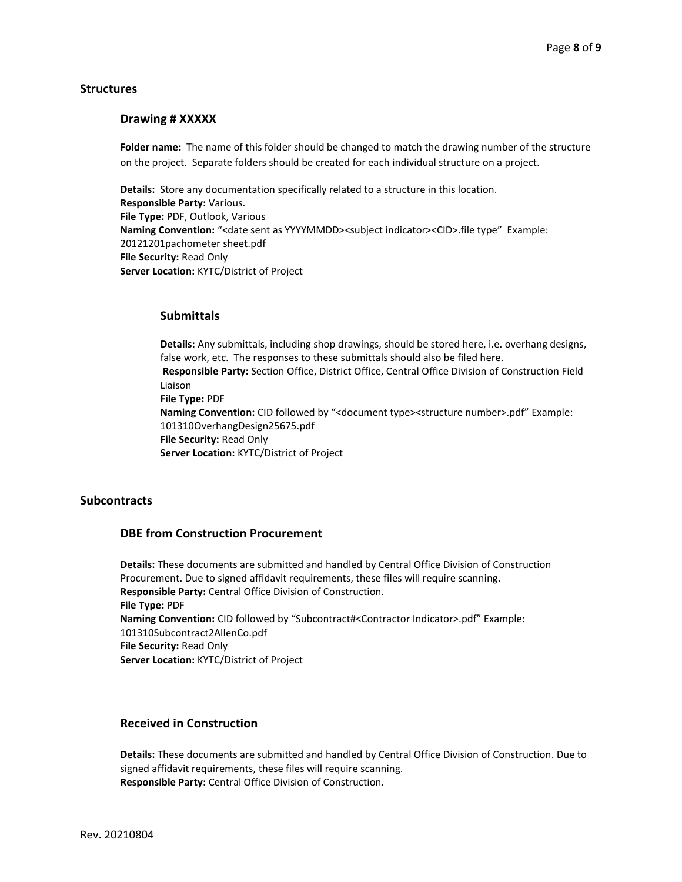#### **Structures**

#### Drawing # XXXXX

Folder name: The name of this folder should be changed to match the drawing number of the structure on the project. Separate folders should be created for each individual structure on a project.

Details: Store any documentation specifically related to a structure in this location. Responsible Party: Various. File Type: PDF, Outlook, Various Naming Convention: "<date sent as YYYYMMDD><subject indicator><CID>.file type" Example: 20121201pachometer sheet.pdf File Security: Read Only Server Location: KYTC/District of Project

### **Submittals**

Details: Any submittals, including shop drawings, should be stored here, i.e. overhang designs, false work, etc. The responses to these submittals should also be filed here. Responsible Party: Section Office, District Office, Central Office Division of Construction Field Liaison File Type: PDF Naming Convention: CID followed by "<document type><structure number>.pdf" Example: 101310OverhangDesign25675.pdf File Security: Read Only Server Location: KYTC/District of Project

# **Subcontracts**

#### DBE from Construction Procurement

Details: These documents are submitted and handled by Central Office Division of Construction Procurement. Due to signed affidavit requirements, these files will require scanning. Responsible Party: Central Office Division of Construction. File Type: PDF Naming Convention: CID followed by "Subcontract#<Contractor Indicator>.pdf" Example: 101310Subcontract2AllenCo.pdf File Security: Read Only Server Location: KYTC/District of Project

# Received in Construction

Details: These documents are submitted and handled by Central Office Division of Construction. Due to signed affidavit requirements, these files will require scanning. Responsible Party: Central Office Division of Construction.